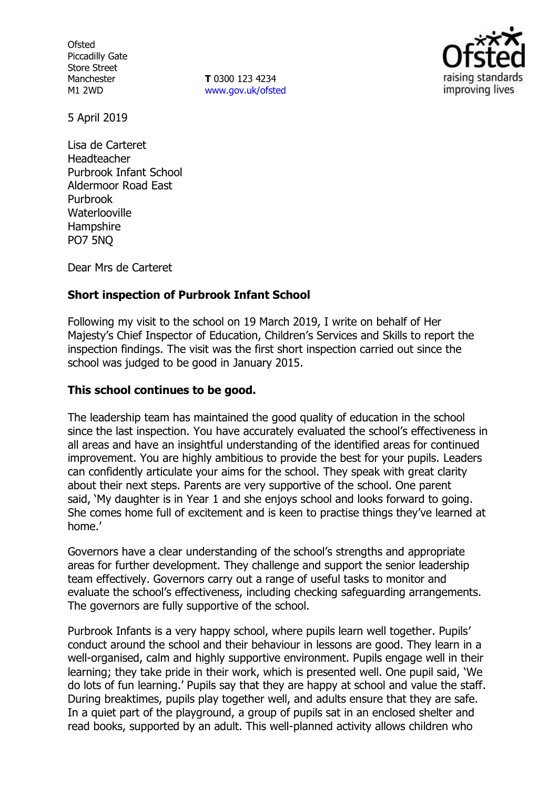**Ofsted** Piccadilly Gate Store Street Manchester M1 2WD

**T** 0300 123 4234 [www.gov.uk/ofsted](http://www.gov.uk/ofsted)



5 April 2019

Lisa de Carteret Headteacher Purbrook Infant School Aldermoor Road East Purbrook **Waterlooville** Hampshire PO7 5NQ

Dear Mrs de Carteret

## **Short inspection of Purbrook Infant School**

Following my visit to the school on 19 March 2019, I write on behalf of Her Majesty's Chief Inspector of Education, Children's Services and Skills to report the inspection findings. The visit was the first short inspection carried out since the school was judged to be good in January 2015.

## **This school continues to be good.**

The leadership team has maintained the good quality of education in the school since the last inspection. You have accurately evaluated the school's effectiveness in all areas and have an insightful understanding of the identified areas for continued improvement. You are highly ambitious to provide the best for your pupils. Leaders can confidently articulate your aims for the school. They speak with great clarity about their next steps. Parents are very supportive of the school. One parent said, 'My daughter is in Year 1 and she enjoys school and looks forward to going. She comes home full of excitement and is keen to practise things they've learned at home.'

Governors have a clear understanding of the school's strengths and appropriate areas for further development. They challenge and support the senior leadership team effectively. Governors carry out a range of useful tasks to monitor and evaluate the school's effectiveness, including checking safeguarding arrangements. The governors are fully supportive of the school.

Purbrook Infants is a very happy school, where pupils learn well together. Pupils' conduct around the school and their behaviour in lessons are good. They learn in a well-organised, calm and highly supportive environment. Pupils engage well in their learning; they take pride in their work, which is presented well. One pupil said, 'We do lots of fun learning.' Pupils say that they are happy at school and value the staff. During breaktimes, pupils play together well, and adults ensure that they are safe. In a quiet part of the playground, a group of pupils sat in an enclosed shelter and read books, supported by an adult. This well-planned activity allows children who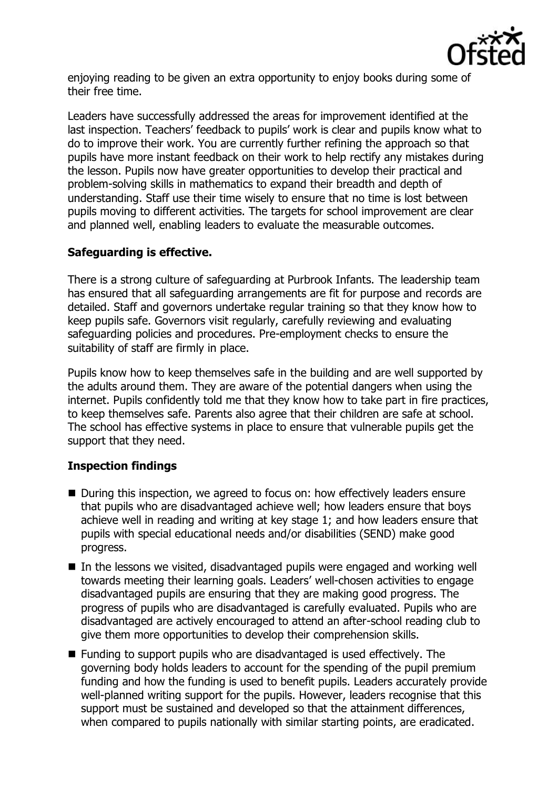

enjoying reading to be given an extra opportunity to enjoy books during some of their free time.

Leaders have successfully addressed the areas for improvement identified at the last inspection. Teachers' feedback to pupils' work is clear and pupils know what to do to improve their work. You are currently further refining the approach so that pupils have more instant feedback on their work to help rectify any mistakes during the lesson. Pupils now have greater opportunities to develop their practical and problem-solving skills in mathematics to expand their breadth and depth of understanding. Staff use their time wisely to ensure that no time is lost between pupils moving to different activities. The targets for school improvement are clear and planned well, enabling leaders to evaluate the measurable outcomes.

# **Safeguarding is effective.**

There is a strong culture of safeguarding at Purbrook Infants. The leadership team has ensured that all safeguarding arrangements are fit for purpose and records are detailed. Staff and governors undertake regular training so that they know how to keep pupils safe. Governors visit regularly, carefully reviewing and evaluating safeguarding policies and procedures. Pre-employment checks to ensure the suitability of staff are firmly in place.

Pupils know how to keep themselves safe in the building and are well supported by the adults around them. They are aware of the potential dangers when using the internet. Pupils confidently told me that they know how to take part in fire practices, to keep themselves safe. Parents also agree that their children are safe at school. The school has effective systems in place to ensure that vulnerable pupils get the support that they need.

## **Inspection findings**

- During this inspection, we agreed to focus on: how effectively leaders ensure that pupils who are disadvantaged achieve well; how leaders ensure that boys achieve well in reading and writing at key stage 1; and how leaders ensure that pupils with special educational needs and/or disabilities (SEND) make good progress.
- In the lessons we visited, disadvantaged pupils were engaged and working well towards meeting their learning goals. Leaders' well-chosen activities to engage disadvantaged pupils are ensuring that they are making good progress. The progress of pupils who are disadvantaged is carefully evaluated. Pupils who are disadvantaged are actively encouraged to attend an after-school reading club to give them more opportunities to develop their comprehension skills.
- Funding to support pupils who are disadvantaged is used effectively. The governing body holds leaders to account for the spending of the pupil premium funding and how the funding is used to benefit pupils. Leaders accurately provide well-planned writing support for the pupils. However, leaders recognise that this support must be sustained and developed so that the attainment differences, when compared to pupils nationally with similar starting points, are eradicated.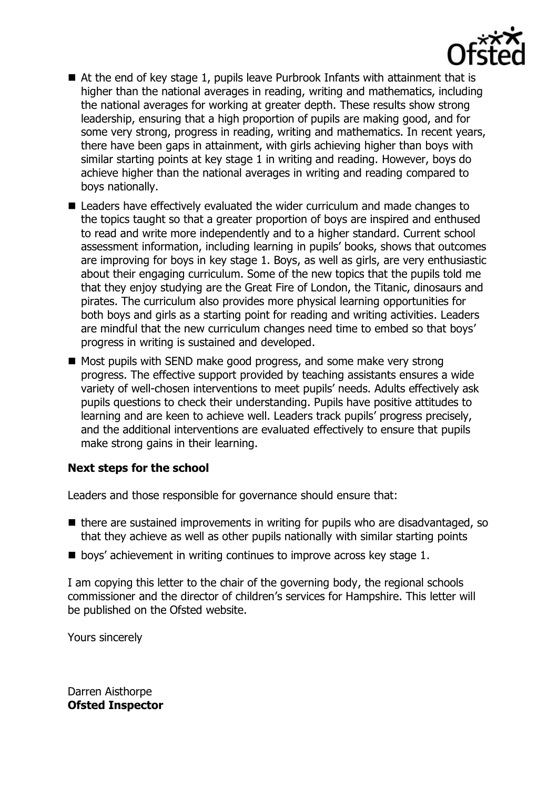

- At the end of key stage 1, pupils leave Purbrook Infants with attainment that is higher than the national averages in reading, writing and mathematics, including the national averages for working at greater depth. These results show strong leadership, ensuring that a high proportion of pupils are making good, and for some very strong, progress in reading, writing and mathematics. In recent years, there have been gaps in attainment, with girls achieving higher than boys with similar starting points at key stage 1 in writing and reading. However, boys do achieve higher than the national averages in writing and reading compared to boys nationally.
- Leaders have effectively evaluated the wider curriculum and made changes to the topics taught so that a greater proportion of boys are inspired and enthused to read and write more independently and to a higher standard. Current school assessment information, including learning in pupils' books, shows that outcomes are improving for boys in key stage 1. Boys, as well as girls, are very enthusiastic about their engaging curriculum. Some of the new topics that the pupils told me that they enjoy studying are the Great Fire of London, the Titanic, dinosaurs and pirates. The curriculum also provides more physical learning opportunities for both boys and girls as a starting point for reading and writing activities. Leaders are mindful that the new curriculum changes need time to embed so that boys' progress in writing is sustained and developed.
- Most pupils with SEND make good progress, and some make very strong progress. The effective support provided by teaching assistants ensures a wide variety of well-chosen interventions to meet pupils' needs. Adults effectively ask pupils questions to check their understanding. Pupils have positive attitudes to learning and are keen to achieve well. Leaders track pupils' progress precisely, and the additional interventions are evaluated effectively to ensure that pupils make strong gains in their learning.

## **Next steps for the school**

Leaders and those responsible for governance should ensure that:

- there are sustained improvements in writing for pupils who are disadvantaged, so that they achieve as well as other pupils nationally with similar starting points
- boys' achievement in writing continues to improve across key stage 1.

I am copying this letter to the chair of the governing body, the regional schools commissioner and the director of children's services for Hampshire. This letter will be published on the Ofsted website.

Yours sincerely

Darren Aisthorpe **Ofsted Inspector**